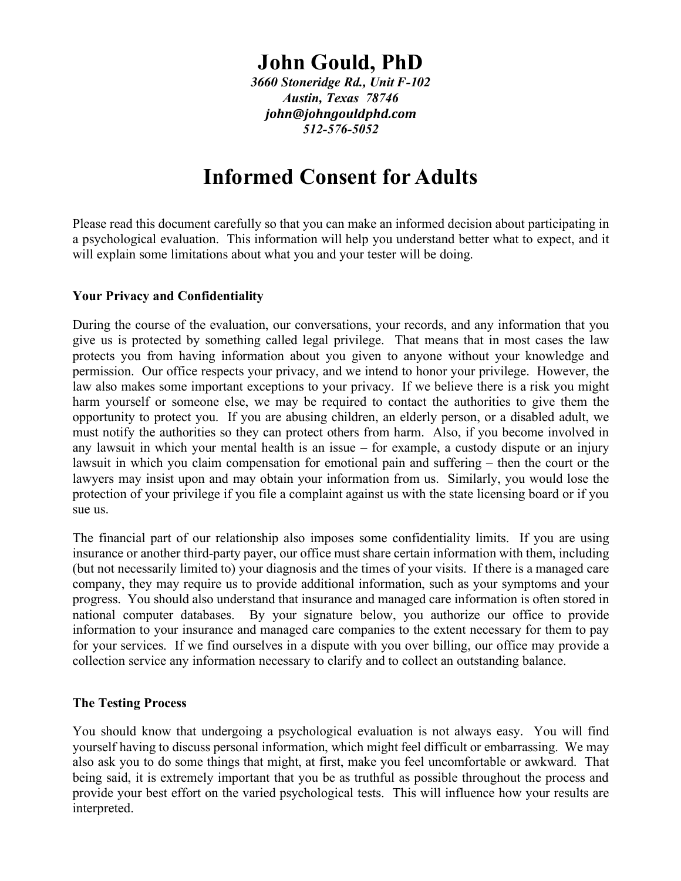# **John Gould, PhD**

*3660 Stoneridge Rd., Unit F-102 Austin, Texas 78746 john@johngouldphd.com 512-576-5052*

## **Informed Consent for Adults**

Please read this document carefully so that you can make an informed decision about participating in a psychological evaluation. This information will help you understand better what to expect, and it will explain some limitations about what you and your tester will be doing.

### **Your Privacy and Confidentiality**

During the course of the evaluation, our conversations, your records, and any information that you give us is protected by something called legal privilege. That means that in most cases the law protects you from having information about you given to anyone without your knowledge and permission. Our office respects your privacy, and we intend to honor your privilege. However, the law also makes some important exceptions to your privacy. If we believe there is a risk you might harm yourself or someone else, we may be required to contact the authorities to give them the opportunity to protect you. If you are abusing children, an elderly person, or a disabled adult, we must notify the authorities so they can protect others from harm. Also, if you become involved in any lawsuit in which your mental health is an issue – for example, a custody dispute or an injury lawsuit in which you claim compensation for emotional pain and suffering – then the court or the lawyers may insist upon and may obtain your information from us. Similarly, you would lose the protection of your privilege if you file a complaint against us with the state licensing board or if you sue us.

The financial part of our relationship also imposes some confidentiality limits. If you are using insurance or another third-party payer, our office must share certain information with them, including (but not necessarily limited to) your diagnosis and the times of your visits. If there is a managed care company, they may require us to provide additional information, such as your symptoms and your progress. You should also understand that insurance and managed care information is often stored in national computer databases. By your signature below, you authorize our office to provide information to your insurance and managed care companies to the extent necessary for them to pay for your services. If we find ourselves in a dispute with you over billing, our office may provide a collection service any information necessary to clarify and to collect an outstanding balance.

#### **The Testing Process**

You should know that undergoing a psychological evaluation is not always easy. You will find yourself having to discuss personal information, which might feel difficult or embarrassing. We may also ask you to do some things that might, at first, make you feel uncomfortable or awkward. That being said, it is extremely important that you be as truthful as possible throughout the process and provide your best effort on the varied psychological tests. This will influence how your results are interpreted.